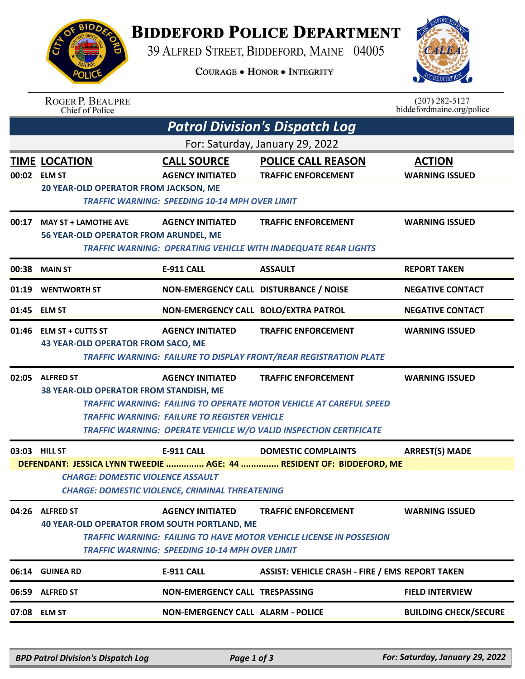## **BIDDEFORD POLICE DEPARTMENT**

39 ALFRED STREET, BIDDEFORD, MAINE 04005



|       |                                                                                                                                     | <b>COURAGE . HONOR . INTEGRITY</b>                  |                                                                           |                                               |  |  |  |  |
|-------|-------------------------------------------------------------------------------------------------------------------------------------|-----------------------------------------------------|---------------------------------------------------------------------------|-----------------------------------------------|--|--|--|--|
|       | <b>ROGER P. BEAUPRE</b><br>Chief of Police                                                                                          |                                                     |                                                                           | $(207)$ 282-5127<br>biddefordmaine.org/police |  |  |  |  |
|       |                                                                                                                                     |                                                     | <b>Patrol Division's Dispatch Log</b>                                     |                                               |  |  |  |  |
|       |                                                                                                                                     |                                                     | For: Saturday, January 29, 2022                                           |                                               |  |  |  |  |
|       | <u>TIME_LOCATION</u>                                                                                                                | <b>CALL SOURCE</b>                                  | <b>POLICE CALL REASON</b>                                                 | <b>ACTION</b>                                 |  |  |  |  |
|       | 00:02 ELM ST                                                                                                                        | <b>AGENCY INITIATED</b>                             | <b>TRAFFIC ENFORCEMENT</b>                                                | <b>WARNING ISSUED</b>                         |  |  |  |  |
|       | 20 YEAR-OLD OPERATOR FROM JACKSON, ME<br><b>TRAFFIC WARNING: SPEEDING 10-14 MPH OVER LIMIT</b>                                      |                                                     |                                                                           |                                               |  |  |  |  |
| 00:17 | <b>MAY ST + LAMOTHE AVE</b><br>56 YEAR-OLD OPERATOR FROM ARUNDEL, ME                                                                | <b>AGENCY INITIATED</b>                             | <b>TRAFFIC ENFORCEMENT</b>                                                | <b>WARNING ISSUED</b>                         |  |  |  |  |
|       |                                                                                                                                     |                                                     | <b>TRAFFIC WARNING: OPERATING VEHICLE WITH INADEQUATE REAR LIGHTS</b>     |                                               |  |  |  |  |
| 00:38 | <b>MAIN ST</b>                                                                                                                      | <b>E-911 CALL</b>                                   | <b>ASSAULT</b>                                                            | <b>REPORT TAKEN</b>                           |  |  |  |  |
| 01:19 | <b>WENTWORTH ST</b>                                                                                                                 | NON-EMERGENCY CALL DISTURBANCE / NOISE              |                                                                           | <b>NEGATIVE CONTACT</b>                       |  |  |  |  |
| 01:45 | <b>ELM ST</b>                                                                                                                       | NON-EMERGENCY CALL BOLO/EXTRA PATROL                |                                                                           | <b>NEGATIVE CONTACT</b>                       |  |  |  |  |
|       | 01:46 ELM ST + CUTTS ST                                                                                                             | <b>AGENCY INITIATED</b>                             | <b>TRAFFIC ENFORCEMENT</b>                                                | <b>WARNING ISSUED</b>                         |  |  |  |  |
|       | <b>43 YEAR-OLD OPERATOR FROM SACO, ME</b>                                                                                           |                                                     |                                                                           |                                               |  |  |  |  |
|       |                                                                                                                                     |                                                     | <b>TRAFFIC WARNING: FAILURE TO DISPLAY FRONT/REAR REGISTRATION PLATE</b>  |                                               |  |  |  |  |
|       | 02:05 ALFRED ST                                                                                                                     | <b>AGENCY INITIATED</b>                             | <b>TRAFFIC ENFORCEMENT</b>                                                | <b>WARNING ISSUED</b>                         |  |  |  |  |
|       | 38 YEAR-OLD OPERATOR FROM STANDISH, ME                                                                                              |                                                     |                                                                           |                                               |  |  |  |  |
|       |                                                                                                                                     | <b>TRAFFIC WARNING: FAILURE TO REGISTER VEHICLE</b> | <b>TRAFFIC WARNING: FAILING TO OPERATE MOTOR VEHICLE AT CAREFUL SPEED</b> |                                               |  |  |  |  |
|       |                                                                                                                                     |                                                     | <b>TRAFFIC WARNING: OPERATE VEHICLE W/O VALID INSPECTION CERTIFICATE</b>  |                                               |  |  |  |  |
|       | 03:03 HILL ST                                                                                                                       | <b>E-911 CALL</b>                                   | <b>DOMESTIC COMPLAINTS</b>                                                | <b>ARREST(S) MADE</b>                         |  |  |  |  |
|       |                                                                                                                                     |                                                     | DEFENDANT: JESSICA LYNN TWEEDIE  AGE: 44  RESIDENT OF: BIDDEFORD, ME      |                                               |  |  |  |  |
|       | <b>CHARGE: DOMESTIC VIOLENCE ASSAULT</b>                                                                                            |                                                     |                                                                           |                                               |  |  |  |  |
|       | <b>CHARGE: DOMESTIC VIOLENCE, CRIMINAL THREATENING</b>                                                                              |                                                     |                                                                           |                                               |  |  |  |  |
|       | 04:26 ALFRED ST                                                                                                                     | <b>AGENCY INITIATED</b>                             | <b>TRAFFIC ENFORCEMENT</b>                                                | <b>WARNING ISSUED</b>                         |  |  |  |  |
|       | <b>40 YEAR-OLD OPERATOR FROM SOUTH PORTLAND, ME</b>                                                                                 |                                                     |                                                                           |                                               |  |  |  |  |
|       | <b>TRAFFIC WARNING: FAILING TO HAVE MOTOR VEHICLE LICENSE IN POSSESION</b><br><b>TRAFFIC WARNING: SPEEDING 10-14 MPH OVER LIMIT</b> |                                                     |                                                                           |                                               |  |  |  |  |
|       | 06:14 GUINEA RD                                                                                                                     | <b>E-911 CALL</b>                                   | <b>ASSIST: VEHICLE CRASH - FIRE / EMS REPORT TAKEN</b>                    |                                               |  |  |  |  |
|       | 06:59 ALFRED ST                                                                                                                     | NON-EMERGENCY CALL TRESPASSING                      |                                                                           | <b>FIELD INTERVIEW</b>                        |  |  |  |  |
| 07:08 | <b>ELM ST</b>                                                                                                                       | <b>NON-EMERGENCY CALL ALARM - POLICE</b>            |                                                                           | <b>BUILDING CHECK/SECURE</b>                  |  |  |  |  |

*BPD Patrol Division's Dispatch Log Page 1 of 3 For: Saturday, January 29, 2022*

**BIDD**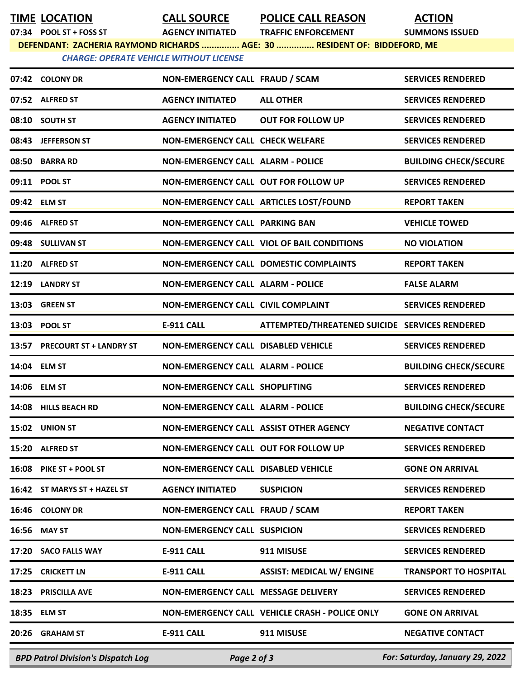**TIME LOCATION CALL SOURCE POLICE CALL REASON ACTION**

**07:34 POOL ST + FOSS ST AGENCY INITIATED TRAFFIC ENFORCEMENT SUMMONS ISSUED**

**DEFENDANT: ZACHERIA RAYMOND RICHARDS ............... AGE: 30 ............... RESIDENT OF: BIDDEFORD, ME**

*CHARGE: OPERATE VEHICLE WITHOUT LICENSE* 

| <b>BPD Patrol Division's Dispatch Log</b> | Page 2 of 3                                |                                                | For: Saturday, January 29, 2022 |
|-------------------------------------------|--------------------------------------------|------------------------------------------------|---------------------------------|
| 20:26 GRAHAM ST                           | <b>E-911 CALL</b>                          | 911 MISUSE                                     | <b>NEGATIVE CONTACT</b>         |
| 18:35 ELM ST                              |                                            | NON-EMERGENCY CALL VEHICLE CRASH - POLICE ONLY | <b>GONE ON ARRIVAL</b>          |
| 18:23 PRISCILLA AVE                       | NON-EMERGENCY CALL MESSAGE DELIVERY        |                                                | <b>SERVICES RENDERED</b>        |
| 17:25 CRICKETT LN                         | <b>E-911 CALL</b>                          | <b>ASSIST: MEDICAL W/ ENGINE</b>               | <b>TRANSPORT TO HOSPITAL</b>    |
| 17:20 SACO FALLS WAY                      | <b>E-911 CALL</b>                          | 911 MISUSE                                     | <b>SERVICES RENDERED</b>        |
| 16:56 MAY ST                              | <b>NON-EMERGENCY CALL SUSPICION</b>        |                                                | <b>SERVICES RENDERED</b>        |
| 16:46 COLONY DR                           | NON-EMERGENCY CALL FRAUD / SCAM            |                                                | <b>REPORT TAKEN</b>             |
| 16:42 ST MARYS ST + HAZEL ST              | <b>AGENCY INITIATED</b>                    | <b>SUSPICION</b>                               | <b>SERVICES RENDERED</b>        |
| 16:08 PIKE ST + POOL ST                   | <b>NON-EMERGENCY CALL DISABLED VEHICLE</b> |                                                | <b>GONE ON ARRIVAL</b>          |
| 15:20 ALFRED ST                           | NON-EMERGENCY CALL OUT FOR FOLLOW UP       |                                                | <b>SERVICES RENDERED</b>        |
| 15:02 UNION ST                            | NON-EMERGENCY CALL ASSIST OTHER AGENCY     |                                                | <b>NEGATIVE CONTACT</b>         |
| 14:08 HILLS BEACH RD                      | <b>NON-EMERGENCY CALL ALARM - POLICE</b>   |                                                | <b>BUILDING CHECK/SECURE</b>    |
| 14:06 ELM ST                              | NON-EMERGENCY CALL SHOPLIFTING             |                                                | <b>SERVICES RENDERED</b>        |
| 14:04 ELM ST                              | <b>NON-EMERGENCY CALL ALARM - POLICE</b>   |                                                | <b>BUILDING CHECK/SECURE</b>    |
| 13:57 PRECOURT ST + LANDRY ST             | NON-EMERGENCY CALL DISABLED VEHICLE        |                                                | <b>SERVICES RENDERED</b>        |
| 13:03 POOL ST                             | <b>E-911 CALL</b>                          | ATTEMPTED/THREATENED SUICIDE SERVICES RENDERED |                                 |
| 13:03 GREEN ST                            | <b>NON-EMERGENCY CALL CIVIL COMPLAINT</b>  |                                                | <b>SERVICES RENDERED</b>        |
| 12:19 LANDRY ST                           | <b>NON-EMERGENCY CALL ALARM - POLICE</b>   |                                                | <b>FALSE ALARM</b>              |
| 11:20 ALFRED ST                           |                                            | <b>NON-EMERGENCY CALL DOMESTIC COMPLAINTS</b>  | <b>REPORT TAKEN</b>             |
| 09:48 SULLIVAN ST                         |                                            | NON-EMERGENCY CALL VIOL OF BAIL CONDITIONS     | <b>NO VIOLATION</b>             |
| 09:46 ALFRED ST                           | <b>NON-EMERGENCY CALL PARKING BAN</b>      |                                                | <b>VEHICLE TOWED</b>            |
| 09:42 ELM ST                              |                                            | NON-EMERGENCY CALL ARTICLES LOST/FOUND         | <b>REPORT TAKEN</b>             |
| 09:11 POOL ST                             | NON-EMERGENCY CALL OUT FOR FOLLOW UP       |                                                | <b>SERVICES RENDERED</b>        |
| 08:50 BARRA RD                            | <b>NON-EMERGENCY CALL ALARM - POLICE</b>   |                                                | <b>BUILDING CHECK/SECURE</b>    |
| 08:43 JEFFERSON ST                        | <b>NON-EMERGENCY CALL CHECK WELFARE</b>    |                                                | <b>SERVICES RENDERED</b>        |
| 08:10 SOUTH ST                            | <b>AGENCY INITIATED</b>                    | <b>OUT FOR FOLLOW UP</b>                       | <b>SERVICES RENDERED</b>        |
| 07:52 ALFRED ST                           | <b>AGENCY INITIATED</b>                    | <b>ALL OTHER</b>                               | <b>SERVICES RENDERED</b>        |
| 07:42 COLONY DR                           | NON-EMERGENCY CALL FRAUD / SCAM            |                                                | <b>SERVICES RENDERED</b>        |